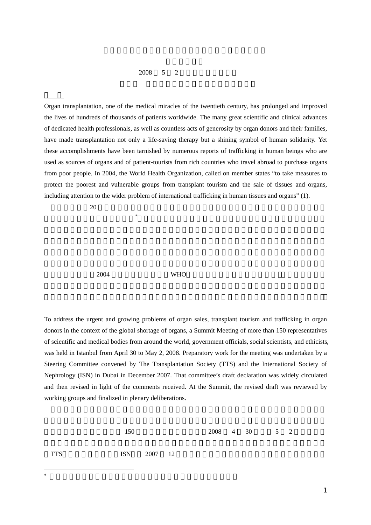## $2008$  5 2

Organ transplantation, one of the medical miracles of the twentieth century, has prolonged and improved the lives of hundreds of thousands of patients worldwide. The many great scientific and clinical advances of dedicated health professionals, as well as countless acts of generosity by organ donors and their families, have made transplantation not only a life-saving therapy but a shining symbol of human solidarity. Yet these accomplishments have been tarnished by numerous reports of trafficking in human beings who are used as sources of organs and of patient-tourists from rich countries who travel abroad to purchase organs from poor people. In 2004, the World Health Organization, called on member states "to take measures to protect the poorest and vulnerable groups from transplant tourism and the sale of tissues and organs, including attention to the wider problem of international trafficking in human tissues and organs" (1).

 $20$ 

の生活を改善してきた。ドナー\*

 $2004$  WHO

To address the urgent and growing problems of organ sales, transplant tourism and trafficking in organ donors in the context of the global shortage of organs, a Summit Meeting of more than 150 representatives of scientific and medical bodies from around the world, government officials, social scientists, and ethicists, was held in Istanbul from April 30 to May 2, 2008. Preparatory work for the meeting was undertaken by a Steering Committee convened by The Transplantation Society (TTS) and the International Society of Nephrology (ISN) in Dubai in December 2007. That committee's draft declaration was widely circulated and then revised in light of the comments received. At the Summit, the revised draft was reviewed by working groups and finalized in plenary deliberations.

 $150$  2008 4 30 5 2

TTS ISN  $2007$  12

 $*$ 

 $\overline{a}$ 

1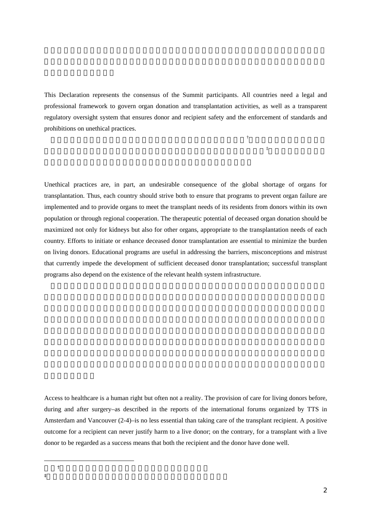This Declaration represents the consensus of the Summit participants. All countries need a legal and professional framework to govern organ donation and transplantation activities, as well as a transparent regulatory oversight system that ensures donor and recipient safety and the enforcement of standards and prohibitions on unethical practices.

この宣言は、サミット参加者の合意に基づいている。すべての国々†

 $\ddot{\pi}$ 

Unethical practices are, in part, an undesirable consequence of the global shortage of organs for transplantation. Thus, each country should strive both to ensure that programs to prevent organ failure are implemented and to provide organs to meet the transplant needs of its residents from donors within its own population or through regional cooperation. The therapeutic potential of deceased organ donation should be maximized not only for kidneys but also for other organs, appropriate to the transplantation needs of each country. Efforts to initiate or enhance deceased donor transplantation are essential to minimize the burden on living donors. Educational programs are useful in addressing the barriers, misconceptions and mistrust that currently impede the development of sufficient deceased donor transplantation; successful transplant programs also depend on the existence of the relevant health system infrastructure.

Access to healthcare is a human right but often not a reality. The provision of care for living donors before, during and after surgery–as described in the reports of the international forums organized by TTS in Amsterdam and Vancouver (2-4)–is no less essential than taking care of the transplant recipient. A positive outcome for a recipient can never justify harm to a live donor; on the contrary, for a transplant with a live donor to be regarded as a success means that both the recipient and the donor have done well.

 $\overline{a}$  $\dagger$  $\ddagger$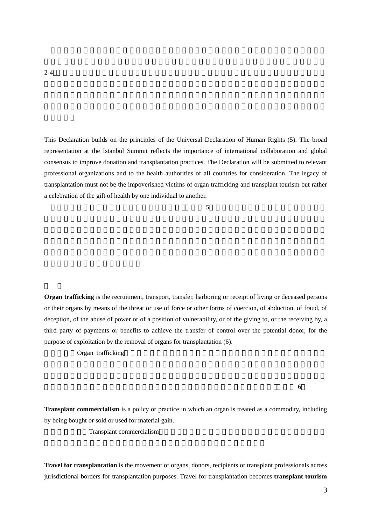This Declaration builds on the principles of the Universal Declaration of Human Rights (5). The broad representation at the Istanbul Summit reflects the importance of international collaboration and global consensus to improve donation and transplantation practices. The Declaration will be submitted to relevant professional organizations and to the health authorities of all countries for consideration. The legacy of transplantation must not be the impoverished victims of organ trafficking and transplant tourism but rather a celebration of the gift of health by one individual to another.

 $\overline{5}$ 

**Organ trafficking** is the recruitment, transport, transfer, harboring or receipt of living or deceased persons or their organs by means of the threat or use of force or other forms of coercion, of abduction, of fraud, of deception, of the abuse of power or of a position of vulnerability, or of the giving to, or the receiving by, a third party of payments or benefits to achieve the transfer of control over the potential donor, for the purpose of exploitation by the removal of organs for transplantation (6).

Organ trafficking

 $6$ 

**Transplant commercialism** is a policy or practice in which an organ is treated as a commodity, including by being bought or sold or used for material gain.

Transplant commercialism

**Travel for transplantation** is the movement of organs, donors, recipients or transplant professionals across jurisdictional borders for transplantation purposes. Travel for transplantation becomes **transplant tourism**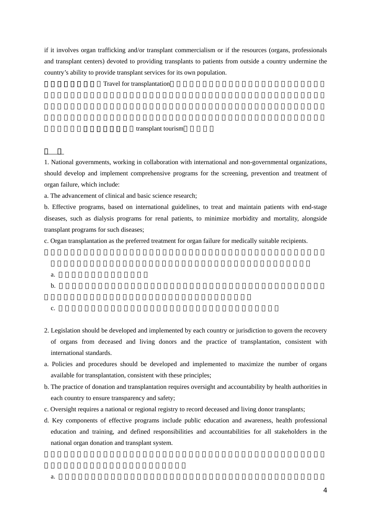if it involves organ trafficking and/or transplant commercialism or if the resources (organs, professionals and transplant centers) devoted to providing transplants to patients from outside a country undermine the country's ability to provide transplant services for its own population.

Travel for transplantation

## transplant tourism

1. National governments, working in collaboration with international and non-governmental organizations, should develop and implement comprehensive programs for the screening, prevention and treatment of organ failure, which include:

a. The advancement of clinical and basic science research;

b. Effective programs, based on international guidelines, to treat and maintain patients with end-stage diseases, such as dialysis programs for renal patients, to minimize morbidity and mortality, alongside transplant programs for such diseases;

c. Organ transplantation as the preferred treatment for organ failure for medically suitable recipients.

a.  $\blacksquare$ 

b.  $\blacksquare$ 

c.

- 2. Legislation should be developed and implemented by each country or jurisdiction to govern the recovery of organs from deceased and living donors and the practice of transplantation, consistent with international standards.
- a. Policies and procedures should be developed and implemented to maximize the number of organs available for transplantation, consistent with these principles;
- b. The practice of donation and transplantation requires oversight and accountability by health authorities in each country to ensure transparency and safety;
- c. Oversight requires a national or regional registry to record deceased and living donor transplants;
- d. Key components of effective programs include public education and awareness, health professional education and training, and defined responsibilities and accountabilities for all stakeholders in the national organ donation and transplant system.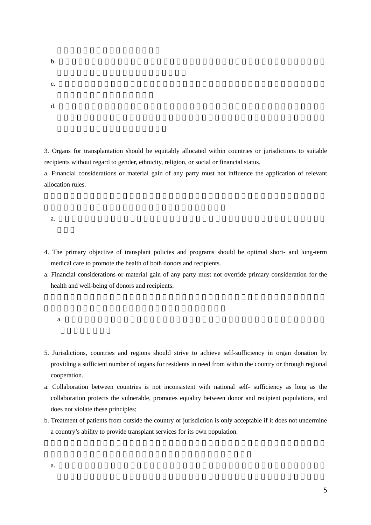b.  $\blacksquare$ 

- $c.$
- $d.$

3. Organs for transplantation should be equitably allocated within countries or jurisdictions to suitable recipients without regard to gender, ethnicity, religion, or social or financial status.

a. Financial considerations or material gain of any party must not influence the application of relevant allocation rules.

a.  $\alpha$ 

- 4. The primary objective of transplant policies and programs should be optimal short- and long-term medical care to promote the health of both donors and recipients.
- a. Financial considerations or material gain of any party must not override primary consideration for the health and well-being of donors and recipients.

- 5. Jurisdictions, countries and regions should strive to achieve self-sufficiency in organ donation by providing a sufficient number of organs for residents in need from within the country or through regional cooperation.
- a. Collaboration between countries is not inconsistent with national self- sufficiency as long as the collaboration protects the vulnerable, promotes equality between donor and recipient populations, and does not violate these principles;
- b. Treatment of patients from outside the country or jurisdiction is only acceptable if it does not undermine a country's ability to provide transplant services for its own population.

a.  $\blacksquare$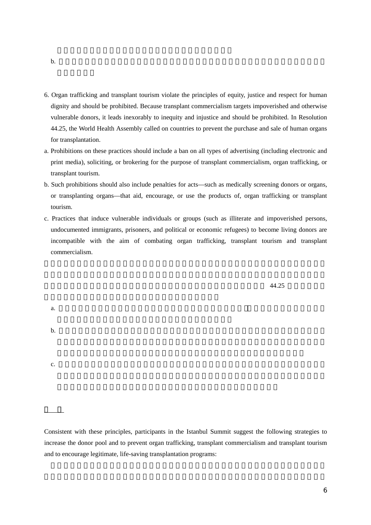- 6. Organ trafficking and transplant tourism violate the principles of equity, justice and respect for human dignity and should be prohibited. Because transplant commercialism targets impoverished and otherwise vulnerable donors, it leads inexorably to inequity and injustice and should be prohibited. In Resolution 44.25, the World Health Assembly called on countries to prevent the purchase and sale of human organs for transplantation.
- a. Prohibitions on these practices should include a ban on all types of advertising (including electronic and print media), soliciting, or brokering for the purpose of transplant commercialism, organ trafficking, or transplant tourism.
- b. Such prohibitions should also include penalties for acts—such as medically screening donors or organs, or transplanting organs—that aid, encourage, or use the products of, organ trafficking or transplant tourism.
- c. Practices that induce vulnerable individuals or groups (such as illiterate and impoverished persons, undocumented immigrants, prisoners, and political or economic refugees) to become living donors are incompatible with the aim of combating organ trafficking, transplant tourism and transplant commercialism.

 $44.25$ 

a.  $\blacksquare$ 

b. 禁止行為の規定には、一定の行為に対する処罰を含むべきである。それらの行為とは、ドナ

c.

Consistent with these principles, participants in the Istanbul Summit suggest the following strategies to increase the donor pool and to prevent organ trafficking, transplant commercialism and transplant tourism and to encourage legitimate, life-saving transplantation programs: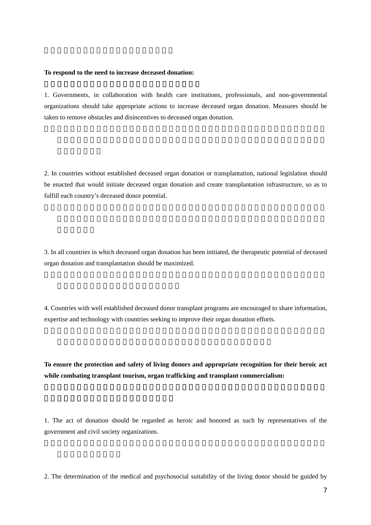## **To respond to the need to increase deceased donation:**

1. Governments, in collaboration with health care institutions, professionals, and non-governmental organizations should take appropriate actions to increase deceased organ donation. Measures should be taken to remove obstacles and disincentives to deceased organ donation.

2. In countries without established deceased organ donation or transplantation, national legislation should be enacted that would initiate deceased organ donation and create transplantation infrastructure, so as to fulfill each country's deceased donor potential.

3. In all countries in which deceased organ donation has been initiated, the therapeutic potential of deceased organ donation and transplantation should be maximized.

4. Countries with well established deceased donor transplant programs are encouraged to share information, expertise and technology with countries seeking to improve their organ donation efforts.

**To ensure the protection and safety of living donors and appropriate recognition for their heroic act while combating transplant tourism, organ trafficking and transplant commercialism:**

1. The act of donation should be regarded as heroic and honored as such by representatives of the government and civil society organizations.

2. The determination of the medical and psychosocial suitability of the living donor should be guided by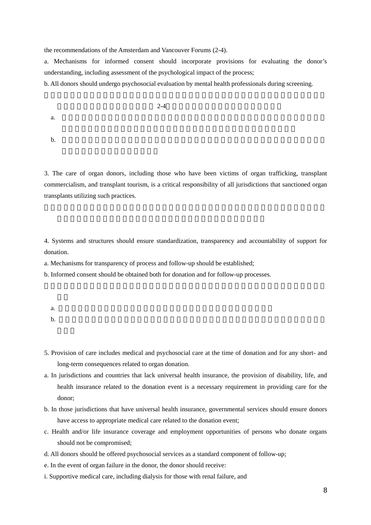the recommendations of the Amsterdam and Vancouver Forums (2-4).

a. Mechanisms for informed consent should incorporate provisions for evaluating the donor's understanding, including assessment of the psychological impact of the process;

b. All donors should undergo psychosocial evaluation by mental health professionals during screening.

 $2-4$ 

a.

b.  $\blacksquare$ 

3. The care of organ donors, including those who have been victims of organ trafficking, transplant commercialism, and transplant tourism, is a critical responsibility of all jurisdictions that sanctioned organ transplants utilizing such practices.

4. Systems and structures should ensure standardization, transparency and accountability of support for donation.

a. Mechanisms for transparency of process and follow-up should be established;

b. Informed consent should be obtained both for donation and for follow-up processes.

- 5. Provision of care includes medical and psychosocial care at the time of donation and for any short- and long-term consequences related to organ donation.
- a. In jurisdictions and countries that lack universal health insurance, the provision of disability, life, and health insurance related to the donation event is a necessary requirement in providing care for the donor;
- b. In those jurisdictions that have universal health insurance, governmental services should ensure donors have access to appropriate medical care related to the donation event;
- c. Health and/or life insurance coverage and employment opportunities of persons who donate organs should not be compromised;
- d. All donors should be offered psychosocial services as a standard component of follow-up;
- e. In the event of organ failure in the donor, the donor should receive:
- i. Supportive medical care, including dialysis for those with renal failure, and

a.  $\alpha$ 

b.  $\blacksquare$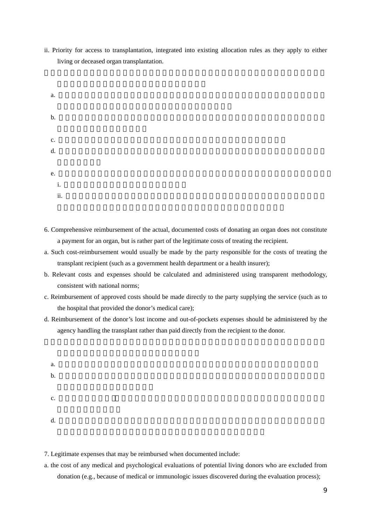- ii. Priority for access to transplantation, integrated into existing allocation rules as they apply to either living or deceased organ transplantation.
- a. b. executive that the contract  $\mathbf{R}$  is the contract of  $\mathbf{R}$ c.  $\blacksquare$ d.  $\blacksquare$ e. i.  $i$ .  $k$ ii.  $\mathbf{r}$
- 6. Comprehensive reimbursement of the actual, documented costs of donating an organ does not constitute a payment for an organ, but is rather part of the legitimate costs of treating the recipient.
- a. Such cost-reimbursement would usually be made by the party responsible for the costs of treating the transplant recipient (such as a government health department or a health insurer);
- b. Relevant costs and expenses should be calculated and administered using transparent methodology, consistent with national norms;
- c. Reimbursement of approved costs should be made directly to the party supplying the service (such as to the hospital that provided the donor's medical care);
- d. Reimbursement of the donor's lost income and out-of-pockets expenses should be administered by the agency handling the transplant rather than paid directly from the recipient to the donor.
	- a.  $\alpha$ . b. 関連する費用と支払いについては、国の規範に一致した形で、透明性の高い方法によって算 c.
	- $d.$
- 7. Legitimate expenses that may be reimbursed when documented include:
- a. the cost of any medical and psychological evaluations of potential living donors who are excluded from donation (e.g., because of medical or immunologic issues discovered during the evaluation process);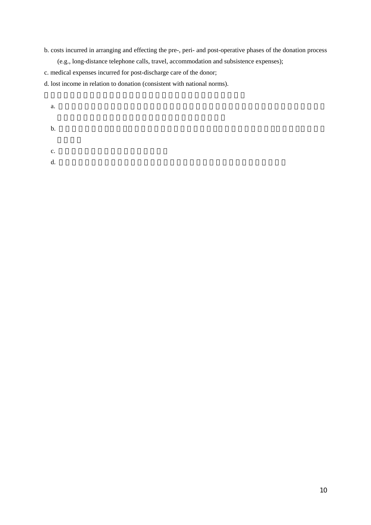- b. costs incurred in arranging and effecting the pre-, peri- and post-operative phases of the donation process (e.g., long-distance telephone calls, travel, accommodation and subsistence expenses);
- c. medical expenses incurred for post-discharge care of the donor;

c.

d. lost income in relation to donation (consistent with national norms).

a.

b.  $\blacksquare$ 

d.  $\blacksquare$